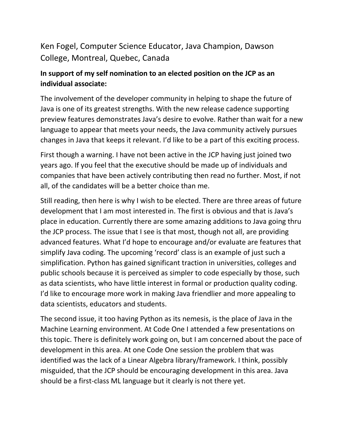## Ken Fogel, Computer Science Educator, Java Champion, Dawson College, Montreal, Quebec, Canada

## **In support of my self nomination to an elected position on the JCP as an individual associate:**

The involvement of the developer community in helping to shape the future of Java is one of its greatest strengths. With the new release cadence supporting preview features demonstrates Java's desire to evolve. Rather than wait for a new language to appear that meets your needs, the Java community actively pursues changes in Java that keeps it relevant. I'd like to be a part of this exciting process.

First though a warning. I have not been active in the JCP having just joined two years ago. If you feel that the executive should be made up of individuals and companies that have been actively contributing then read no further. Most, if not all, of the candidates will be a better choice than me.

Still reading, then here is why I wish to be elected. There are three areas of future development that I am most interested in. The first is obvious and that is Java's place in education. Currently there are some amazing additions to Java going thru the JCP process. The issue that I see is that most, though not all, are providing advanced features. What I'd hope to encourage and/or evaluate are features that simplify Java coding. The upcoming 'record' class is an example of just such a simplification. Python has gained significant traction in universities, colleges and public schools because it is perceived as simpler to code especially by those, such as data scientists, who have little interest in formal or production quality coding. I'd like to encourage more work in making Java friendlier and more appealing to data scientists, educators and students.

The second issue, it too having Python as its nemesis, is the place of Java in the Machine Learning environment. At Code One I attended a few presentations on this topic. There is definitely work going on, but I am concerned about the pace of development in this area. At one Code One session the problem that was identified was the lack of a Linear Algebra library/framework. I think, possibly misguided, that the JCP should be encouraging development in this area. Java should be a first-class ML language but it clearly is not there yet.